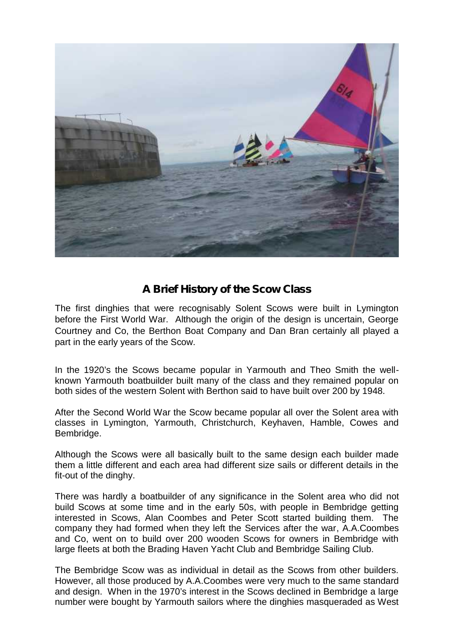

## **A Brief History of the Scow Class**

The first dinghies that were recognisably Solent Scows were built in Lymington before the First World War. Although the origin of the design is uncertain, George Courtney and Co, the Berthon Boat Company and Dan Bran certainly all played a part in the early years of the Scow.

In the 1920's the Scows became popular in Yarmouth and Theo Smith the well known Yarmouth boatbuilder built many of the class and they remained popular on both sides of the western Solent with Berthon said to have built over 200 by 1948.

After the Second World War the Scow became popular all over the Solent area with classes in Lymington, Yarmouth, Christchurch, Keyhaven, Hamble, Cowes and Bembridge.

Although the Scows were all basically built to the same design each builder made them a little different and each area had different size sails or different details in the fit-out of the dinghy.

There was hardly a boatbuilder of any significance in the Solent area who did not build Scows at some time and in the early 50s, with people in Bembridge getting interested in Scows, Alan Coombes and Peter Scott started building them. The company they had formed when they left the Services after the war, A.A.Coombes and Co, went on to build over 200 wooden Scows for owners in Bembridge with large fleets at both the Brading Haven Yacht Club and Bembridge Sailing Club.

The Bembridge Scow was as individual in detail as the Scows from other builders. However, all those produced by A.A.Coombes were very much to the same standard and design. When in the 1970's interest in the Scows declined in Bembridge a large number were bought by Yarmouth sailors where the dinghies masqueraded as West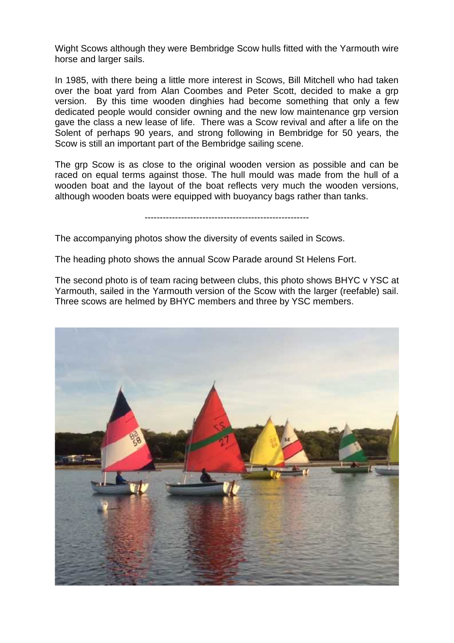Wight Scows although they were Bembridge Scow hulls fitted with the Yarmouth wire horse and larger sails.

In 1985, with there being a little more interest in Scows, Bill Mitchell who had taken over the boat yard from Alan Coombes and Peter Scott, decided to make a grp version. By this time wooden dinghies had become something that only a few dedicated people would consider owning and the new low maintenance grp version gave the class a new lease of life. There was a Scow revival and after a life on the Solent of perhaps 90 years, and strong following in Bembridge for 50 years, the Scow is still an important part of the Bembridge sailing scene.

The grp Scow is as close to the original wooden version as possible and can be raced on equal terms against those. The hull mould was made from the hull of a wooden boat and the layout of the boat reflects very much the wooden versions, although wooden boats were equipped with buoyancy bags rather than tanks.

------------------------------------------------------

The accompanying photos show the diversity of events sailed in Scows.

The heading photo shows the annual Scow Parade around St Helens Fort.

The second photo is of team racing between clubs, this photo shows BHYC v YSC at Yarmouth, sailed in the Yarmouth version of the Scow with the larger (reefable) sail. Three scows are helmed by BHYC members and three by YSC members.